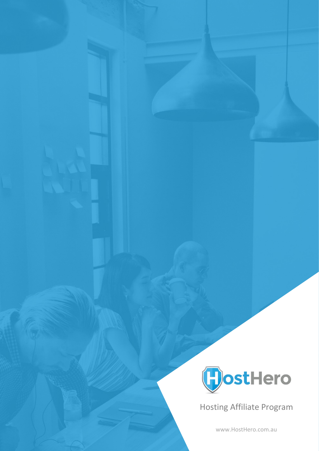

Hosting Affiliate Program

[www.HostHero.com.au](http://www.hosthero.com.au/)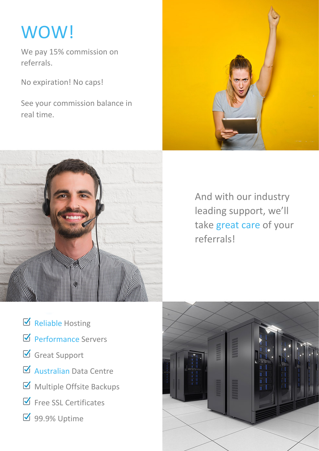# WOW!

We pay 15% commission on referrals.

No expiration! No caps!

See your commission balance in real time.





And with our industry leading support, we'll take great care of your referrals!

- $\boxtimes$  Reliable Hosting
- Performance Servers
- Great Support
- Australian Data Centre
- Multiple Offsite Backups
- $\boxdot$  Free SSL Certificates
- **Ø** 99.9% Uptime

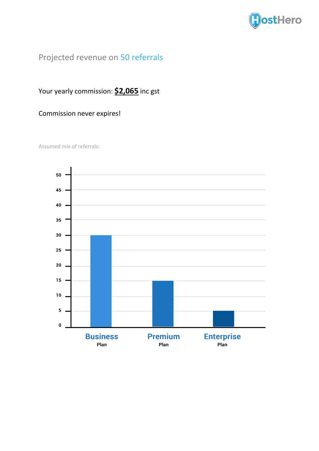

## Projected revenue on 50 referrals

#### Your yearly commission: **\$2,065** inc gst

#### Commission never expires!

Assumed mix of referrals:

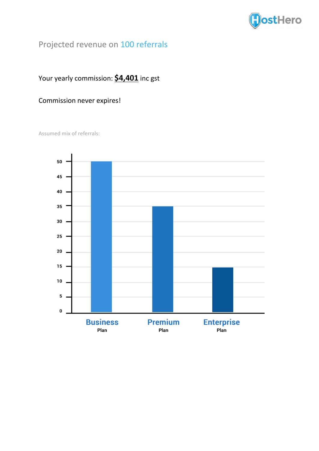

# Projected revenue on 100 referrals

#### Your yearly commission: **\$4,401** inc gst

#### Commission never expires!

Assumed mix of referrals:

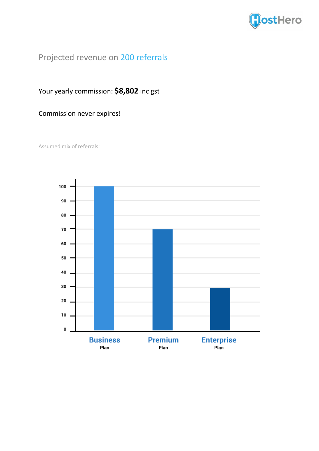

## Projected revenue on 200 referrals

#### Your yearly commission: **\$8,802** inc gst

#### Commission never expires!

Assumed mix of referrals: